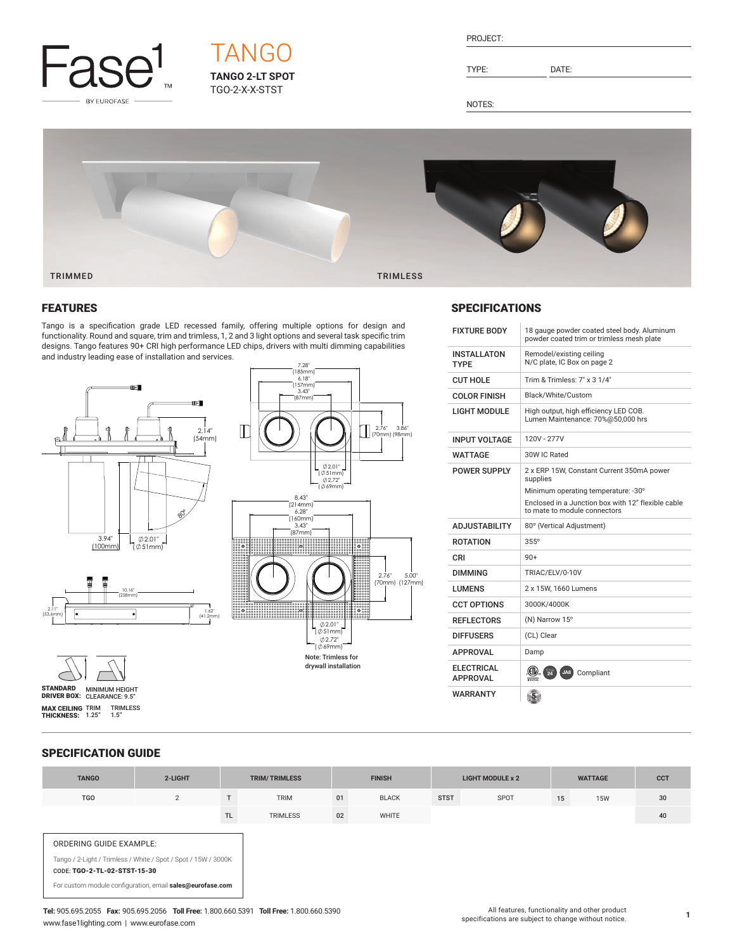

# **TANGO 2-LT SPOT** TGO-2-X-X-STST TANGO

| PROJECT: |  |
|----------|--|
|          |  |

TYPE: DATE:

NOTES:



# FEATURES

Tango is a specification grade LED recessed family, offering multiple options for design and functionality. Round and square, trim and trimless, 1, 2 and 3 light options and several task specific trim designs. Tango features 90+ CRI high performance LED chips, drivers with multi dimming capabilities and industry leading ease of installation and services.





7.28" (185mm)

## **SPECIFICATIONS**

| <b>FIXTURE BODY</b>                  | 18 gauge powder coated steel body. Aluminum<br>powder coated trim or trimless mesh plate |  |  |  |  |
|--------------------------------------|------------------------------------------------------------------------------------------|--|--|--|--|
| INSTALLATON<br><b>TYPE</b>           | Remodel/existing ceiling<br>N/C plate, IC Box on page 2                                  |  |  |  |  |
| <b>CUT HOLE</b>                      | Trim & Trimless: 7" x 3 1/4"                                                             |  |  |  |  |
| <b>COLOR FINISH</b>                  | Black/White/Custom                                                                       |  |  |  |  |
| <b>LIGHT MODULE</b>                  | High output, high efficiency LED COB.<br>Lumen Maintenance: 70%@50,000 hrs               |  |  |  |  |
| <b>INPUT VOLTAGE</b>                 | 120V - 277V                                                                              |  |  |  |  |
| <b>WATTAGE</b>                       | 30W IC Rated                                                                             |  |  |  |  |
| <b>POWER SUPPLY</b>                  | 2 x ERP 15W, Constant Current 350mA power<br>supplies                                    |  |  |  |  |
|                                      | Minimum operating temperature: -30°                                                      |  |  |  |  |
|                                      | Enclosed in a Junction box with 12" flexible cable<br>to mate to module connectors       |  |  |  |  |
| <b>ADJUSTABILITY</b>                 | 80° (Vertical Adjustment)                                                                |  |  |  |  |
| <b>ROTATION</b>                      | $355^\circ$                                                                              |  |  |  |  |
| CRI                                  | $90+$                                                                                    |  |  |  |  |
| <b>DIMMING</b>                       | TRIAC/ELV/0-10V                                                                          |  |  |  |  |
| LUMENS                               | 2 x 15W, 1660 Lumens                                                                     |  |  |  |  |
| <b>CCT OPTIONS</b>                   | 3000K/4000K                                                                              |  |  |  |  |
| <b>REFLECTORS</b>                    | (N) Narrow 15°                                                                           |  |  |  |  |
| <b>DIFFUSERS</b>                     | (CL) Clear                                                                               |  |  |  |  |
| <b>APPROVAL</b>                      | Damp                                                                                     |  |  |  |  |
| <b>ELECTRICAL</b><br><b>APPROVAL</b> | $\frac{1}{24}$<br>JA8<br>Compliant<br>Interték                                           |  |  |  |  |
| <b>WARRANTY</b>                      |                                                                                          |  |  |  |  |

# SPECIFICATION GUIDE

STANDARD MINIMUM HEIGHT<br>DRIVER BOX: CLEARANCE: 9.5" **MAX CEILING** TRIM TRIMLESS<br>**THICKNESS:** 1.25" 1.5"

| <b>TANGO</b>                                            | 2-LIGHT                                                                                                                     |     | <b>TRIM/TRIMLESS</b> |    | <b>FINISH</b> |             | <b>LIGHT MODULE x 2</b> |    | <b>WATTAGE</b> | <b>CCT</b> |
|---------------------------------------------------------|-----------------------------------------------------------------------------------------------------------------------------|-----|----------------------|----|---------------|-------------|-------------------------|----|----------------|------------|
| <b>TGO</b>                                              | $\overline{2}$                                                                                                              |     | <b>TRIM</b>          | 01 | <b>BLACK</b>  | <b>STST</b> | SPOT                    | 15 | <b>15W</b>     | 30         |
|                                                         |                                                                                                                             | TL. | <b>TRIMLESS</b>      | 02 | <b>WHITE</b>  |             |                         |    |                | 40         |
| ORDERING GUIDE EXAMPLE:<br>CODE: TGO-2-TL-02-STST-15-30 | Tango / 2-Light / Trimless / White / Spot / Spot / 15W / 3000K<br>For custom module configuration, email sales@eurofase.com |     |                      |    |               |             |                         |    |                |            |